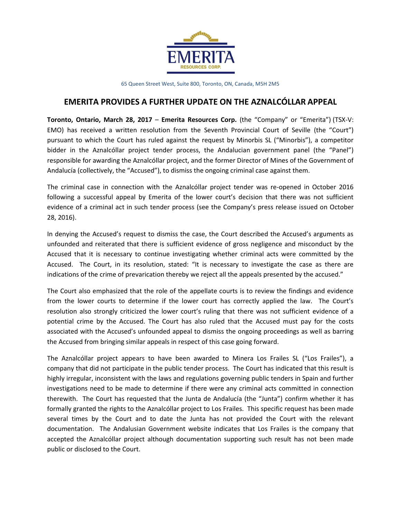

65 Queen Street West, Suite 800, Toronto, ON, Canada, M5H 2M5

# **EMERITA PROVIDES A FURTHER UPDATE ON THE AZNALCÓLLAR APPEAL**

**Toronto, Ontario, March 28, 2017** – **Emerita Resources Corp.** (the "Company" or "Emerita") (TSX-V: EMO) has received a written resolution from the Seventh Provincial Court of Seville (the "Court") pursuant to which the Court has ruled against the request by Minorbis SL ("Minorbis"), a competitor bidder in the Aznalcóllar project tender process, the Andalucian government panel (the "Panel") responsible for awarding the Aznalcóllar project, and the former Director of Mines of the Government of Andalucía (collectively, the "Accused"), to dismiss the ongoing criminal case against them.

The criminal case in connection with the Aznalcóllar project tender was re-opened in October 2016 following a successful appeal by Emerita of the lower court's decision that there was not sufficient evidence of a criminal act in such tender process (see the Company's press release issued on October 28, 2016).

In denying the Accused's request to dismiss the case, the Court described the Accused's arguments as unfounded and reiterated that there is sufficient evidence of gross negligence and misconduct by the Accused that it is necessary to continue investigating whether criminal acts were committed by the Accused. The Court, in its resolution, stated: "It is necessary to investigate the case as there are indications of the crime of prevarication thereby we reject all the appeals presented by the accused."

The Court also emphasized that the role of the appellate courts is to review the findings and evidence from the lower courts to determine if the lower court has correctly applied the law. The Court's resolution also strongly criticized the lower court's ruling that there was not sufficient evidence of a potential crime by the Accused. The Court has also ruled that the Accused must pay for the costs associated with the Accused's unfounded appeal to dismiss the ongoing proceedings as well as barring the Accused from bringing similar appeals in respect of this case going forward.

The Aznalcóllar project appears to have been awarded to Minera Los Frailes SL ("Los Frailes"), a company that did not participate in the public tender process. The Court has indicated that this result is highly irregular, inconsistent with the laws and regulations governing public tenders in Spain and further investigations need to be made to determine if there were any criminal acts committed in connection therewith. The Court has requested that the Junta de Andalucía (the "Junta") confirm whether it has formally granted the rights to the Aznalcóllar project to Los Frailes. This specific request has been made several times by the Court and to date the Junta has not provided the Court with the relevant documentation. The Andalusian Government website indicates that Los Frailes is the company that accepted the Aznalcóllar project although documentation supporting such result has not been made public or disclosed to the Court.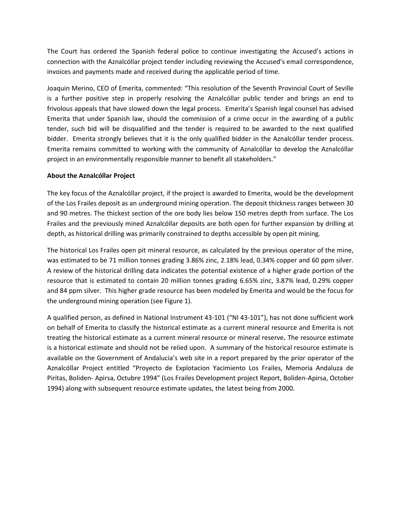The Court has ordered the Spanish federal police to continue investigating the Accused's actions in connection with the Aznalcóllar project tender including reviewing the Accused's email correspondence, invoices and payments made and received during the applicable period of time.

Joaquin Merino, CEO of Emerita, commented: "This resolution of the Seventh Provincial Court of Seville is a further positive step in properly resolving the Aznalcóllar public tender and brings an end to frivolous appeals that have slowed down the legal process. Emerita's Spanish legal counsel has advised Emerita that under Spanish law, should the commission of a crime occur in the awarding of a public tender, such bid will be disqualified and the tender is required to be awarded to the next qualified bidder. Emerita strongly believes that it is the only qualified bidder in the Aznalcóllar tender process. Emerita remains committed to working with the community of Aznalcóllar to develop the Aznalcóllar project in an environmentally responsible manner to benefit all stakeholders."

## **About the Aznalcóllar Project**

The key focus of the Aznalcóllar project, if the project is awarded to Emerita, would be the development of the Los Frailes deposit as an underground mining operation. The deposit thickness ranges between 30 and 90 metres. The thickest section of the ore body lies below 150 metres depth from surface. The Los Frailes and the previously mined Aznalcóllar deposits are both open for further expansion by drilling at depth, as historical drilling was primarily constrained to depths accessible by open pit mining.

The historical Los Frailes open pit mineral resource, as calculated by the previous operator of the mine, was estimated to be 71 million tonnes grading 3.86% zinc, 2.18% lead, 0.34% copper and 60 ppm silver. A review of the historical drilling data indicates the potential existence of a higher grade portion of the resource that is estimated to contain 20 million tonnes grading 6.65% zinc, 3.87% lead, 0.29% copper and 84 ppm silver. This higher grade resource has been modeled by Emerita and would be the focus for the underground mining operation (see Figure 1).

A qualified person, as defined in National Instrument 43-101 ("NI 43-101"), has not done sufficient work on behalf of Emerita to classify the historical estimate as a current mineral resource and Emerita is not treating the historical estimate as a current mineral resource or mineral reserve**.** The resource estimate is a historical estimate and should not be relied upon. A summary of the historical resource estimate is available on the Government of Andalucia's web site in a report prepared by the prior operator of the Aznalcóllar Project entitled "Proyecto de Explotacion Yacimiento Los Frailes, Memoria Andaluza de Piritas, Boliden- Apirsa, Octubre 1994" (Los Frailes Development project Report, Boliden-Apirsa, October 1994) along with subsequent resource estimate updates, the latest being from 2000.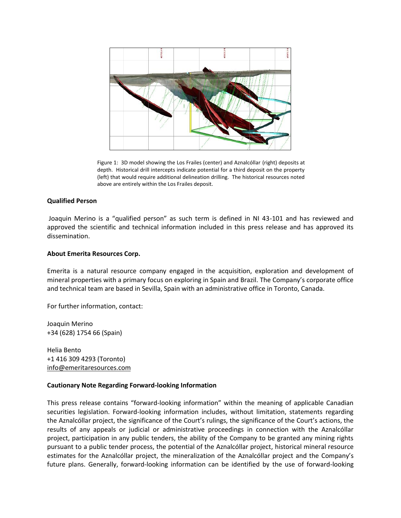

Figure 1: 3D model showing the Los Frailes (center) and Aznalcóllar (right) deposits at depth. Historical drill intercepts indicate potential for a third deposit on the property (left) that would require additional delineation drilling. The historical resources noted above are entirely within the Los Frailes deposit.

#### **Qualified Person**

Joaquin Merino is a "qualified person" as such term is defined in NI 43-101 and has reviewed and approved the scientific and technical information included in this press release and has approved its dissemination.

### **About Emerita Resources Corp.**

Emerita is a natural resource company engaged in the acquisition, exploration and development of mineral properties with a primary focus on exploring in Spain and Brazil. The Company's corporate office and technical team are based in Sevilla, Spain with an administrative office in Toronto, Canada.

For further information, contact:

Joaquin Merino +34 (628) 1754 66 (Spain)

Helia Bento +1 416 309 4293 (Toronto) [info@emeritaresources.com](mailto:info@emeritaresources.com)

## **Cautionary Note Regarding Forward-looking Information**

This press release contains "forward-looking information" within the meaning of applicable Canadian securities legislation. Forward-looking information includes, without limitation, statements regarding the Aznalcóllar project, the significance of the Court's rulings, the significance of the Court's actions, the results of any appeals or judicial or administrative proceedings in connection with the Aznalcóllar project, participation in any public tenders, the ability of the Company to be granted any mining rights pursuant to a public tender process, the potential of the Aznalcóllar project, historical mineral resource estimates for the Aznalcóllar project, the mineralization of the Aznalcóllar project and the Company's future plans. Generally, forward-looking information can be identified by the use of forward-looking